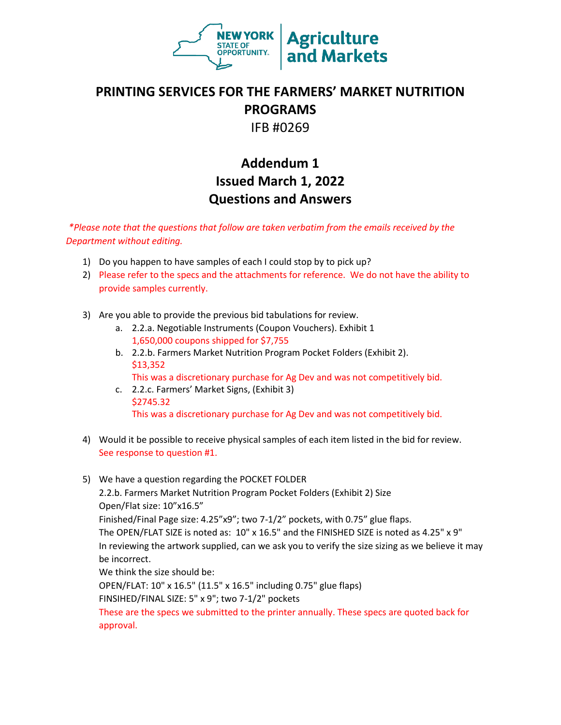

## **PRINTING SERVICES FOR THE FARMERS' MARKET NUTRITION PROGRAMS**

IFB #0269

## **Addendum 1 Issued March 1, 2022 Questions and Answers**

*\*Please note that the questions that follow are taken verbatim from the emails received by the Department without editing.*

- 1) Do you happen to have samples of each I could stop by to pick up?
- 2) Please refer to the specs and the attachments for reference. We do not have the ability to provide samples currently.
- 3) Are you able to provide the previous bid tabulations for review.
	- a. 2.2.a. Negotiable Instruments (Coupon Vouchers). Exhibit 1 1,650,000 coupons shipped for \$7,755
	- b. 2.2.b. Farmers Market Nutrition Program Pocket Folders (Exhibit 2). \$13,352

This was a discretionary purchase for Ag Dev and was not competitively bid.

- c. 2.2.c. Farmers' Market Signs, (Exhibit 3) \$2745.32 This was a discretionary purchase for Ag Dev and was not competitively bid.
- 4) Would it be possible to receive physical samples of each item listed in the bid for review. See response to question #1.
- 5) We have a question regarding the POCKET FOLDER 2.2.b. Farmers Market Nutrition Program Pocket Folders (Exhibit 2) Size Open/Flat size: 10"x16.5" Finished/Final Page size: 4.25"x9"; two 7-1/2" pockets, with 0.75" glue flaps. The OPEN/FLAT SIZE is noted as: 10" x 16.5" and the FINISHED SIZE is noted as 4.25" x 9" In reviewing the artwork supplied, can we ask you to verify the size sizing as we believe it may be incorrect. We think the size should be: OPEN/FLAT: 10" x 16.5" (11.5" x 16.5" including 0.75" glue flaps) FINSIHED/FINAL SIZE: 5" x 9"; two 7-1/2" pockets These are the specs we submitted to the printer annually. These specs are quoted back for approval.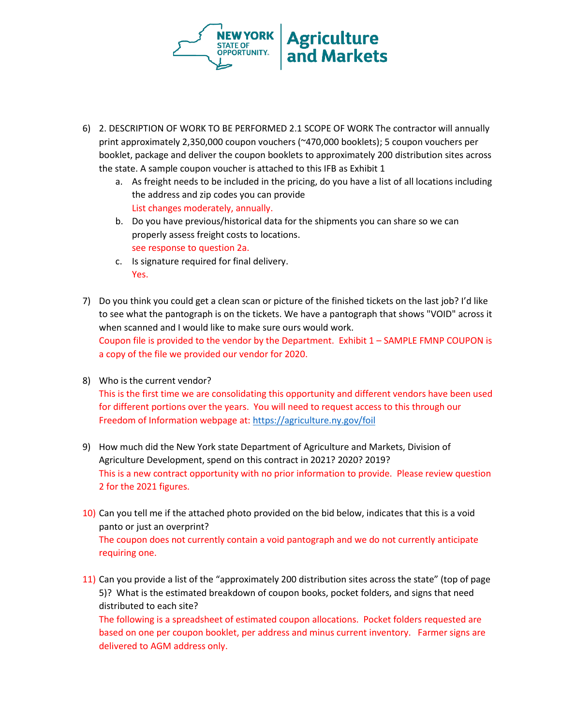

- 6) 2. DESCRIPTION OF WORK TO BE PERFORMED 2.1 SCOPE OF WORK The contractor will annually print approximately 2,350,000 coupon vouchers (~470,000 booklets); 5 coupon vouchers per booklet, package and deliver the coupon booklets to approximately 200 distribution sites across the state. A sample coupon voucher is attached to this IFB as Exhibit 1
	- a. As freight needs to be included in the pricing, do you have a list of all locations including the address and zip codes you can provide List changes moderately, annually.
	- b. Do you have previous/historical data for the shipments you can share so we can properly assess freight costs to locations. see response to question 2a.
	- c. Is signature required for final delivery. Yes.
- 7) Do you think you could get a clean scan or picture of the finished tickets on the last job? I'd like to see what the pantograph is on the tickets. We have a pantograph that shows "VOID" across it when scanned and I would like to make sure ours would work. Coupon file is provided to the vendor by the Department. Exhibit 1 – SAMPLE FMNP COUPON is a copy of the file we provided our vendor for 2020.
- 8) Who is the current vendor? This is the first time we are consolidating this opportunity and different vendors have been used for different portions over the years. You will need to request access to this through our Freedom of Information webpage at:<https://agriculture.ny.gov/foil>
- 9) How much did the New York state Department of Agriculture and Markets, Division of Agriculture Development, spend on this contract in 2021? 2020? 2019? This is a new contract opportunity with no prior information to provide. Please review question 2 for the 2021 figures.
- 10) Can you tell me if the attached photo provided on the bid below, indicates that this is a void panto or just an overprint? The coupon does not currently contain a void pantograph and we do not currently anticipate requiring one.
- 11) Can you provide a list of the "approximately 200 distribution sites across the state" (top of page 5)? What is the estimated breakdown of coupon books, pocket folders, and signs that need distributed to each site?

The following is a spreadsheet of estimated coupon allocations. Pocket folders requested are based on one per coupon booklet, per address and minus current inventory. Farmer signs are delivered to AGM address only.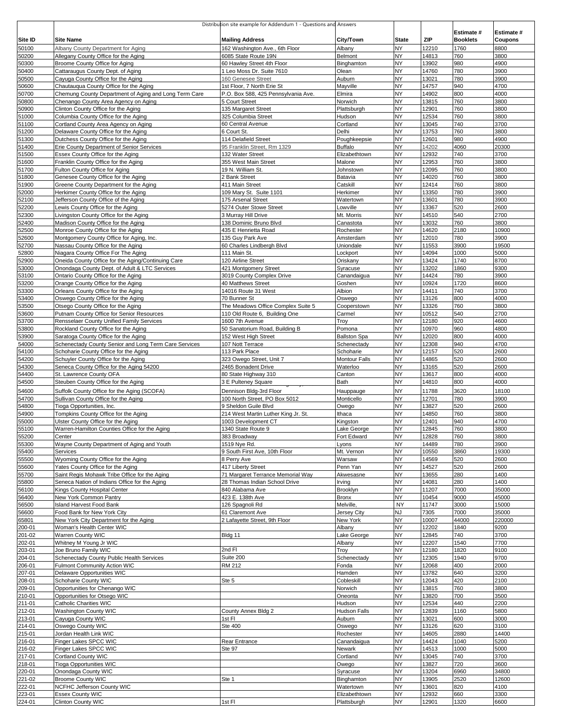|                  |                                                                                                     | Distribution site example for Addendum 1 - Questions and Answers |                               |                        |                |                               |                       |
|------------------|-----------------------------------------------------------------------------------------------------|------------------------------------------------------------------|-------------------------------|------------------------|----------------|-------------------------------|-----------------------|
| Site ID          | <b>Site Name</b>                                                                                    |                                                                  | City/Town                     | <b>State</b>           | ZIP            | Estimate #<br><b>Booklets</b> | Estimate #<br>Coupons |
| 50100            | Albany County Department for Aging                                                                  | <b>Mailing Address</b><br>162 Washington Ave., 6th Floor         | Albany                        | <b>NY</b>              | 12210          | 1760                          | 8800                  |
| 50200            | Allegany County Office for the Aging                                                                | 6085 State Route 19N                                             | Belmont                       | <b>NY</b>              | 14813          | 760                           | 3800                  |
| 50300            | Broome County Office for Aging                                                                      | 60 Hawley Street 4th Floor                                       | Binghamton                    | <b>NY</b>              | 3902           | 980                           | 4900                  |
| 50400            | Cattaraugus County Dept. of Aging                                                                   | 1 Leo Moss Dr. Suite 7610                                        | Olean                         | <b>NY</b>              | 14760          | 780                           | 3900                  |
| 50500            | Cayuga County Office for the Aging                                                                  | 160 Genesee Street                                               | Auburn                        | <b>NY</b>              | 13021          | 780                           | 3900                  |
| 50600            | Chautauqua County Office for the Aging                                                              | 1st Floor, 7 North Erie St                                       | Mayville                      | <b>NY</b>              | 14757          | 940                           | 4700                  |
| 50700<br>50800   | Chemung County Department of Aging and Long Term Care<br>Chenango County Area Agency on Aging       | P.O. Box 588, 425 Pennsylvania Ave.<br>5 Court Street            | Elmira<br>Norwich             | <b>NY</b><br><b>NY</b> | 14902<br>13815 | 800<br>760                    | 4000<br>3800          |
| 50900            | Clinton County Office for the Aging                                                                 | 135 Margaret Street                                              | Plattsburgh                   | <b>NY</b>              | 12901          | 760                           | 3800                  |
| 51000            | Columbia County Office for the Aging                                                                | 325 Columbia Street                                              | Hudson                        | <b>NY</b>              | 12534          | 760                           | 3800                  |
| 51100            | Cortland County Area Agency on Aging                                                                | 60 Central Avenue                                                | Cortland                      | <b>NY</b>              | 13045          | 740                           | 3700                  |
| 51200            | Delaware County Office for the Aging                                                                | 6 Court St.                                                      | Delhi                         | <b>NY</b>              | 13753          | 760                           | 3800                  |
| 51300            | Dutchess County Office for the Aging                                                                | 114 Delafield Street                                             | Poughkeepsie                  | <b>NY</b>              | 12601          | 980                           | 4900                  |
| 51400            | Erie County Department of Senior Services                                                           | 95 Franklin Street, Rm 1329                                      | Buffalo                       | <b>NY</b>              | 14202          | 4060                          | 20300                 |
| 51500<br>51600   | Essex County Office for the Aging<br>Franklin County Office for the Aging                           | 132 Water Street<br>355 West Main Street                         | Elizabethtown<br>Malone       | <b>NY</b><br><b>NY</b> | 12932<br>12953 | 740<br>760                    | 3700<br>3800          |
| 51700            | Fulton County Office for Aging                                                                      | 19 N. William St.                                                | Johnstown                     | <b>NY</b>              | 12095          | 760                           | 3800                  |
| 51800            | Genesee County Office for the Aging                                                                 | 2 Bank Street                                                    | Batavia                       | <b>NY</b>              | 14020          | 760                           | 3800                  |
| 51900            | Greene County Department for the Aging                                                              | 411 Main Street                                                  | Catskill                      | <b>NY</b>              | 12414          | 760                           | 3800                  |
| 52000            | Herkimer County Office for the Aging                                                                | 109 Mary St. Suite 1101                                          | Herkimer                      | <b>NY</b>              | 13350          | 780                           | 3900                  |
| 52100            | Jefferson County Office of the Aging                                                                | 175 Arsenal Street                                               | Watertown                     | <b>NY</b>              | 13601          | 780                           | 3900                  |
| 52200<br>52300   | Lewis County Office for the Aging<br>Livingston County Office for the Aging                         | 5274 Outer Stowe Street<br>3 Murray Hill Drive                   | Lowville<br>Mt. Morris        | <b>NY</b><br><b>NY</b> | 13367<br>14510 | 520<br>540                    | 2600<br>2700          |
| 52400            | Madison County Office for the Aging                                                                 | 138 Dominic Bruno Blvd                                           | Canastota                     | <b>NY</b>              | 3032           | 760                           | 3800                  |
| 52500            | Monroe County Office for the Aging                                                                  | 435 E Henrietta Road                                             | Rochester                     | <b>NY</b>              | 14620          | 2180                          | 10900                 |
| 52600            | Montgomery County Office for Aging, Inc.                                                            | 135 Guy Park Ave                                                 | Amsterdam                     | <b>NY</b>              | 12010          | 780                           | 3900                  |
| 52700            | Nassau County Office for the Aging                                                                  | 60 Charles Lindbergh Blvd                                        | Uniondale                     | <b>NY</b>              | 11553          | 3900                          | 19500                 |
| 52800            | Niagara County Office For The Aging                                                                 | 111 Main St.                                                     | Lockport                      | <b>NY</b>              | 14094          | 1000                          | 5000                  |
| 52900<br>53000   | Oneida County Office for the Aging/Continuing Care<br>Onondaga County Dept. of Adult & LTC Services | 120 Airline Street<br>421 Montgomery Street                      | Oriskanv                      | <b>NY</b><br><b>NY</b> | 13424<br>13202 | 1740<br>1860                  | 8700<br>9300          |
| 53100            | Ontario County Office for the Aging                                                                 | 3019 County Complex Drive                                        | Syracuse<br>Canandaigua       | <b>NY</b>              | 14424          | 780                           | 3900                  |
| 53200            | Orange County Office for the Aging                                                                  | 40 Matthews Street                                               | Goshen                        | <b>NY</b>              | 10924          | 1720                          | 8600                  |
| 53300            | Orleans County Office for the Aging                                                                 | 14016 Route 31 West                                              | Albion                        | <b>NY</b>              | 14411          | 740                           | 3700                  |
| 53400            | Oswego County Office for the Aging                                                                  | 70 Bunner St                                                     | Oswego                        | <b>NY</b>              | 13126          | 800                           | 4000                  |
| 53500            | Otsego County Office for the Aging                                                                  | The Meadows Office Complex Suite 5                               | Cooperstown                   | <b>NY</b>              | 13326          | 760                           | 3800                  |
| 53600            | Putnam County Office for Senior Resources                                                           | 110 Old Route 6, Building One                                    | Carmel                        | <b>NY</b>              | 10512          | 540                           | 2700                  |
| 53700            | Rensselaer County Unified Family Services                                                           | 1600 7th Avenue                                                  | Troy                          | <b>NY</b><br><b>NY</b> | 12180<br>10970 | 920                           | 4600<br>4800          |
| 53800<br>53900   | Rockland County Office for the Aging<br>Saratoga County Office for the Aging                        | 50 Sanatorium Road, Building B<br>152 West High Street           | Pomona<br><b>Ballston Spa</b> | <b>NY</b>              | 12020          | 960<br>800                    | 4000                  |
| 54000            | Schenectady County Senior and Long Term Care Services                                               | 107 Nott Terrace                                                 | Schenectady                   | <b>NY</b>              | 12308          | 940                           | 4700                  |
| 54100            | Schoharie County Office for the Aging                                                               | 113 Park Place                                                   | Schoharie                     | <b>NY</b>              | 12157          | 520                           | 2600                  |
| 54200            | Schuyler County Office for the Aging                                                                | 323 Owego Street, Unit 7                                         | Montour Falls                 | <b>NY</b>              | 14865          | 520                           | 2600                  |
| 54300            | Seneca County Office for the Aging 54200                                                            | 2465 Bonadent Drive                                              | Waterloo                      | <b>NY</b>              | 13165          | 520                           | 2600                  |
| 54400            | St. Lawrence County OFA                                                                             | 80 State Highway 310                                             | Canton                        | <b>NY</b>              | 13617          | 800                           | 4000                  |
| 54500            | Steuben County Office for the Aging                                                                 | 3 E Pulteney Square                                              | Bath                          | <b>NY</b>              | 14810          | 800                           | 4000                  |
| 54600<br>54700   | Suffolk County Office for the Aging (SCOFA)<br>Sullivan County Office for the Aging                 | Dennison Bldg-3rd Floor<br>100 North Street, PO Box 5012         | Hauppauge<br>Monticello       | <b>NY</b><br><b>NY</b> | 11788<br>12701 | 3620<br>780                   | 18100<br>3900         |
| 54800            | Tioga Opportunities, Inc.                                                                           | 9 Sheldon Guile Blvd                                             | Owego                         | <b>NY</b>              | 13827          | 520                           | 2600                  |
| 54900            | Tompkins County Office for the Aging                                                                | 214 West Martin Luther King Jr. St.                              | Ithaca                        | <b>NY</b>              | 14850          | 760                           | 3800                  |
| 55000            | Ulster County Office for the Aging                                                                  | 1003 Development CT                                              | Kingston                      | <b>NY</b>              | 12401          | 940                           | 4700                  |
| 55100            | Warren-Hamilton Counties Office for the Aging                                                       | 1340 State Route 9                                               | Lake George                   | <b>NY</b>              | 12845          | 760                           | 3800                  |
| 55200            | Center                                                                                              | 383 Broadway                                                     | Fort Edward                   | <b>NY</b>              | 12828          | 760                           | 3800                  |
| 55300            | Wayne County Department of Aging and Youth                                                          | 1519 Nye Rd.                                                     | Lyons                         | <b>NY</b>              | 14489          | 780                           | 3900                  |
| 55400<br>55500   | Services<br>Wyoming County Office for the Aging                                                     | 9 South First Ave, 10th Floor<br>8 Perry Ave                     | Mt. Vernon<br>Warsaw          | <b>NY</b><br><b>NY</b> | 10550<br>14569 | 3860<br>520                   | 19300<br>2600         |
| 55600            | Yates County Office for the Aging                                                                   | 417 Liberty Street                                               | Penn Yan                      | <b>NY</b>              | 14527          | 520                           | 2600                  |
| 55700            | Saint Regis Mohawk Tribe Office for the Aging                                                       | 71 Margaret Terrance Memorial Way                                | Akwesasne                     | <b>NY</b>              | 13655          | 280                           | 1400                  |
| 55800            | Seneca Nation of Indians Office for the Aging                                                       | 28 Thomas Indian School Drive                                    | Irving                        | <b>NY</b>              | 14081          | 280                           | 1400                  |
| 56100            | Kings County Hospital Center                                                                        | 840 Alabama Ave                                                  | Brooklyn                      | <b>NY</b>              | 11207          | 7000                          | 35000                 |
| 56400            | New York Common Pantry                                                                              | 423 E. 138th Ave                                                 | <b>Bronx</b>                  | <b>NY</b>              | 10454          | 9000                          | 45000                 |
| 56500            | <b>Island Harvest Food Bank</b>                                                                     | 126 Spagnoli Rd                                                  | Melville,                     | <b>NY</b><br><b>NJ</b> | 11747<br>7305  | 3000<br>7000                  | 15000                 |
| 56600<br>65801   | Food Bank for New York City<br>New York City Department for the Aging                               | 61 Claremont Ave<br>2 Lafayette Street, 9th Floor                | Jersey City<br>New York       | <b>NY</b>              | 10007          | 44000                         | 35000<br>220000       |
| 200-01           | Woman's Health Center WIC                                                                           |                                                                  | Albany                        | <b>NY</b>              | 12202          | 1840                          | 9200                  |
| 201-02           | Warren County WIC                                                                                   | Bldg 11                                                          | Lake George                   | <b>NY</b>              | 12845          | 740                           | 3700                  |
| 202-01           | Whitney M Young Jr WIC                                                                              |                                                                  | Albany                        | <b>NY</b>              | 12207          | 1540                          | 7700                  |
| 203-01           | Joe Bruno Family WIC                                                                                | 2nd FI                                                           | Troy                          | <b>NY</b>              | 12180          | 1820                          | 9100                  |
| 204-01           | Schenectady County Public Health Services                                                           | Suite 200                                                        | Schenectady                   | <b>NY</b>              | 12305          | 1940                          | 9700                  |
| 206-01           | Fulmont Community Action WIC                                                                        | RM 212                                                           | Fonda                         | <b>NY</b><br><b>NY</b> | 12068          | 400                           | 2000                  |
| 207-01<br>208-01 | Delaware Opportunities WIC<br>Schoharie County WIC                                                  | Ste 5                                                            | Hamden<br>Cobleskill          | <b>NY</b>              | 13782<br>12043 | 640<br>420                    | 3200<br>2100          |
| 209-01           | Opportunities for Chenango WIC                                                                      |                                                                  | Norwich                       | <b>NY</b>              | 13815          | 760                           | 3800                  |
| 210-01           | Opportunities for Otsego WIC                                                                        |                                                                  | Oneonta                       | <b>NY</b>              | 13820          | 700                           | 3500                  |
| 211-01           | <b>Catholic Charities WIC</b>                                                                       |                                                                  | Hudson                        | <b>NY</b>              | 12534          | 440                           | 2200                  |
| 212-01           | Washington County WIC                                                                               | County Annex Bldg 2                                              | Hudson Falls                  | <b>NY</b>              | 12839          | 1160                          | 5800                  |
| 213-01           | Cayuga County WIC                                                                                   | 1st Fl                                                           | Auburn                        | <b>NY</b><br><b>NY</b> | 13021          | 600                           | 3000                  |
| 214-01<br>215-01 | Oswego County WIC<br>Jordan Health Link WIC                                                         | Ste 400                                                          | Oswego<br>Rochester           | <b>NY</b>              | 13126<br>14605 | 620<br>2880                   | 3100<br>14400         |
| 216-01           | Finger Lakes SPCC WIC                                                                               | Rear Entrance                                                    | Canandaigua                   | <b>NY</b>              | 14424          | 1040                          | 5200                  |
| 216-02           | Finger Lakes SPCC WIC                                                                               | Ste 97                                                           | Newark                        | <b>NY</b>              | 14513          | 1000                          | 5000                  |
| 217-01           | Cortland County WIC                                                                                 |                                                                  | Cortland                      | <b>NY</b>              | 13045          | 740                           | 3700                  |
| 218-01           | <b>Tioga Opportunities WIC</b>                                                                      |                                                                  | Owego                         | <b>NY</b>              | 13827          | 720                           | 3600                  |
| 220-01           | Onondaga County WIC                                                                                 |                                                                  | Syracuse                      | <b>NY</b>              | 13204          | 6960                          | 34800                 |
| 221-02<br>222-01 | <b>Broome County WIC</b>                                                                            | Ste 1                                                            | Binghamton                    | <b>NY</b><br><b>NY</b> | 13905          | 2520                          | 12600<br>4100         |
| 223-01           | NCFHC Jefferson County WIC<br><b>Essex County WIC</b>                                               |                                                                  | Watertown<br>Elizabethtown    | <b>NY</b>              | 13601<br>12932 | 820<br>660                    | 3300                  |
| 224-01           | Clinton County WIC                                                                                  | 1st Fl                                                           | Plattsburgh                   | <b>NY</b>              | 12901          | 1320                          | 6600                  |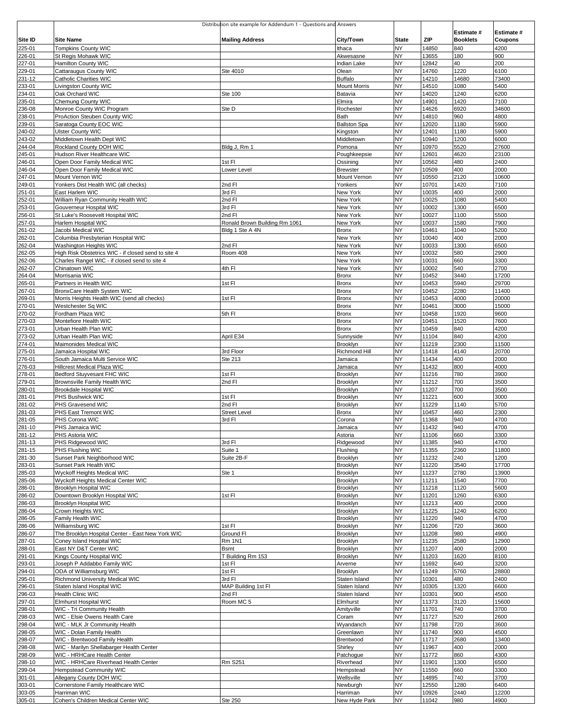|                   |                                                                    | Distribution site example for Addendum 1 - Questions and Answers |                                |                    |                |                        |                 |
|-------------------|--------------------------------------------------------------------|------------------------------------------------------------------|--------------------------------|--------------------|----------------|------------------------|-----------------|
|                   |                                                                    |                                                                  |                                |                    |                | Estimate #             | Estimate #      |
| Site ID<br>225-01 | <b>Site Name</b><br><b>Tompkins County WIC</b>                     | <b>Mailing Address</b>                                           | City/Town<br>Ithaca            | <b>State</b><br>NY | ZIP<br>14850   | <b>Booklets</b><br>840 | Coupons<br>4200 |
| 226-01            | St Regis Mohawk WIC                                                |                                                                  | Akwesasne                      | NY                 | 13655          | 180                    | 900             |
| 227-01            | Hamilton County WIC                                                |                                                                  | Indian Lake                    | NΥ                 | 12842          | 40                     | 200             |
| 229-01            | Cattaraugus County WIC                                             | Ste 4010                                                         | Olean<br><b>Buffalo</b>        | NY<br>NY           | 14760<br>14210 | 1220                   | 6100<br>73400   |
| 231-12<br>233-01  | Catholic Charities WIC<br>Livingston County WIC                    |                                                                  | <b>Mount Morris</b>            | NΥ                 | 14510          | 14680<br>1080          | 5400            |
| 234-01            | Oak Orchard WIC                                                    | Ste 100                                                          | Batavia                        | NY                 | 14020          | 1240                   | 6200            |
| 235-01            | Chemung County WIC                                                 |                                                                  | Elmira                         | NΥ                 | 14901          | 1420                   | 7100            |
| 236-08            | Monroe County WIC Program                                          | Ste D                                                            | Rochester<br>Bath              | NY<br>NY           | 14626          | 6920                   | 34600<br>4800   |
| 238-01<br>239-01  | ProAction Steuben County WIC<br>Saratoga County EOC WIC            |                                                                  | <b>Ballston Spa</b>            | NΥ                 | 14810<br>12020 | 960<br>1180            | 5900            |
| 240-02            | <b>Ulster County WIC</b>                                           |                                                                  | Kingston                       | NY                 | 12401          | 1180                   | 5900            |
| 243-02            | Middletown Health Dept WIC                                         |                                                                  | Middletown                     | NY                 | 10940          | 1200                   | 6000            |
| 244-04<br>245-01  | Rockland County DOH WIC<br>Hudson River Healthcare WIC             | Bldg J, Rm 1                                                     | Pomona<br>Poughkeepsie         | NY<br>NY           | 10970<br>12601 | 5520<br>4620           | 27600<br>23100  |
| 246-01            | Open Door Family Medical WIC                                       | 1st Fl                                                           | Ossining                       | NY                 | 10562          | 480                    | 2400            |
| 246-04            | Open Door Family Medical WIC                                       | Lower Level                                                      | <b>Brewster</b>                | NY                 | 10509          | 400                    | 2000            |
| 247-01            | Mount Vernon WIC                                                   |                                                                  | Mount Vernon                   | NY                 | 10550          | 2120                   | 10600           |
| 249-01<br>251-01  | Yonkers Dist Health WIC (all checks)<br>East Harlem WIC            | 2nd FI<br>3rd FI                                                 | Yonkers<br>New York            | NΥ<br>NY           | 10701<br>10035 | 1420<br>400            | 7100<br>2000    |
| 252-01            | William Ryan Community Health WIC                                  | 2nd FI                                                           | New York                       | NY                 | 10025          | 1080                   | 5400            |
| 253-01            | Gouverneur Hospital WIC                                            | 3rd FI                                                           | New York                       | NY                 | 10002          | 1300                   | 6500            |
| 256-01            | St Luke's Roosevelt Hospital WIC                                   | 2nd Fl                                                           | New York                       | NY                 | 10027          | 1100                   | 5500            |
| 257-01<br>261-02  | Harlem Hospital WIC<br>Jacobi Medical WIC                          | Ronald Brown Building Rm 1061<br>Bldg 1 Ste A 4N                 | New York<br><b>Bronx</b>       | NΥ<br>NY           | 10037<br>10461 | 1580<br>1040           | 7900<br>5200    |
| 262-01            | Columbia Presbyterian Hospital WIC                                 |                                                                  | New York                       | NY                 | 10040          | 400                    | 2000            |
| 262-04            | Washington Heights WIC                                             | 2nd Fl                                                           | New York                       | NΥ                 | 10033          | 1300                   | 6500            |
| 262-05            | High Risk Obstetrics WIC - if closed send to site 4                | Room 408                                                         | New York<br>New York           | NY<br>NΥ           | 10032<br>10031 | 580                    | 2900<br>3300    |
| 262-06<br>262-07  | Charles Rangel WIC - if closed send to site 4<br>Chinatown WIC     | 4th FI                                                           | New York                       | NY                 | 10002          | 660<br>540             | 2700            |
| 264-04            | Morrisania WIC                                                     |                                                                  | <b>Bronx</b>                   | NY                 | 10452          | 3440                   | 17200           |
| 265-01            | Partners in Health WIC                                             | 1st Fl                                                           | Bronx                          | NY                 | 10453          | 5940                   | 29700           |
| 267-01            | BronxCare Health System WIC                                        |                                                                  | <b>Bronx</b>                   | NΥ                 | 10452          | 2280                   | 11400           |
| 269-01<br>270-01  | Morris Heights Health WIC (send all checks)<br>Westchester Sq WIC  | 1st Fl                                                           | <b>Bronx</b><br><b>Bronx</b>   | NY<br>NY           | 10453<br>10461 | 4000<br>3000           | 20000<br>15000  |
| 270-02            | Fordham Plaza WIC                                                  | 5th FI                                                           | <b>Bronx</b>                   | NY                 | 10458          | 1920                   | 9600            |
| 270-03            | Montefiore Health WIC                                              |                                                                  | <b>Bronx</b>                   | NY                 | 10451          | 1520                   | 7600            |
| 273-01            | Urban Health Plan WIC                                              |                                                                  | <b>Bronx</b>                   | NY                 | 10459          | 840                    | 4200            |
| 273-02<br>274-01  | Urban Health Plan WIC<br>Maimonides Medical WIC                    | April E34                                                        | Sunnyside<br>Brooklyn          | NY<br>NΥ           | 11104<br>11219 | 840<br>2300            | 4200<br>11500   |
| 275-01            | Jamaica Hospital WIC                                               | 3rd Floor                                                        | Richmond Hill                  | NΥ                 | 11418          | 4140                   | 20700           |
| 276-01            | South Jamaica Multi Service WIC                                    | Ste 213                                                          | Jamaica                        | NY                 | 11434          | 400                    | 2000            |
| 276-03<br>278-01  | Hillcrest Medical Plaza WIC<br>Bedford Stuyvesant FHC WIC          | 1st Fl                                                           | Jamaica<br>Brooklyn            | NY<br>NY           | 11432<br>11216 | 800<br>780             | 4000<br>3900    |
| 279-01            | Brownsville Family Health WIC                                      | 2nd Fl                                                           | <b>Brooklyn</b>                | NY                 | 11212          | 700                    | 3500            |
| 280-01            | Brookdale Hospital WIC                                             |                                                                  | Brooklyn                       | NY                 | 11207          | 700                    | 3500            |
| 281-01            | PHS Bushwick WIC                                                   | 1st Fl                                                           | Brooklyn                       | NY                 | 11221          | 600                    | 3000            |
| 281-02<br>281-03  | PHS Gravesend WIC<br>PHS East Tremont WIC                          | 2nd Fl<br><b>Street Level</b>                                    | <b>Brooklyn</b><br>Bronx       | NΥ<br>NY           | 11229<br>10457 | 1140<br>460            | 5700<br>2300    |
| 281-05            | PHS Corona WIC                                                     | 3rd Fl                                                           | Corona                         | NΥ                 | 11368          | 940                    | 4700            |
| 281-10            | PHS Jamaica WIC                                                    |                                                                  | Jamaica                        | NY                 | 11432          | 940                    | 4700            |
| 281-12            | PHS Astoria WIC                                                    |                                                                  | Astoria                        | NΥ                 | 11106          | 660                    | 3300            |
| 281-13<br>281-15  | PHS Ridgewood WIC<br>PHS Flushing WIC                              | 3rd Fl<br>Suite 1                                                | Ridgewood<br>Flushing          | NY<br>NY           | 11385<br>11355 | 940<br>2360            | 4700<br>11800   |
| 281-30            | Sunset Park Neighborhood WIC                                       | Suite 2B-F                                                       | Brooklyn                       | NY                 | 11232          | 240                    | 1200            |
| 283-01            | Sunset Park Health WIC                                             |                                                                  | Brooklyn                       | NY                 | 11220          | 3540                   | 17700           |
| 285-03            | <b>Wyckoff Heights Medical WIC</b>                                 | Ste 1                                                            | Brooklyn                       | NY                 | 11237          | 2780                   | 13900           |
| 285-06<br>286-01  | Wyckoff Heights Medical Center WIC<br><b>Brooklyn Hospital WIC</b> |                                                                  | Brooklyn<br>Brooklyn           | NΥ<br>NY           | 11211<br>11218 | 1540<br>1120           | 7700<br>5600    |
| 286-02            | Downtown Brooklyn Hospital WIC                                     | 1st Fl                                                           | Brooklyn                       | NY                 | 11201          | 1260                   | 6300            |
| 286-03            | <b>Brooklyn Hospital WIC</b>                                       |                                                                  | Brooklyn                       | NY                 | 11213          | 400                    | 2000            |
| 286-04<br>286-05  | Crown Heights WIC<br>Family Health WIC                             |                                                                  | Brooklyn<br>Brooklyn           | NY<br>NY           | 11225<br>11220 | 1240<br>940            | 6200<br>4700    |
| 286-06            | Williamsburg WIC                                                   | 1st Fl                                                           | Brooklyn                       | NY                 | 11206          | 720                    | 3600            |
| 286-07            | The Brooklyn Hospital Center - East New York WIC                   | Ground FI                                                        | Brooklyn                       | NY                 | 11208          | 980                    | 4900            |
| 287-01            | Coney Island Hospital WIC                                          | <b>Rm 1N1</b>                                                    | Brooklyn                       | NY                 | 11235          | 2580                   | 12900           |
| 288-01<br>291-01  | East NY D&T Center WIC<br>Kings County Hospital WIC                | <b>Bsmt</b><br>T Building Rm 153                                 | Brooklyn<br>Brooklyn           | NY<br>NY           | 11207<br>11203 | 400<br>1620            | 2000<br>8100    |
| 293-01            | Joseph P Addabbo Family WIC                                        | 1st Fl                                                           | Arverne                        | NY                 | 11692          | 640                    | 3200            |
| 294-01            | ODA of Williamsburg WIC                                            | 1st Fl                                                           | Brooklyn                       | NY                 | 11249          | 5760                   | 28800           |
| 295-01            | Richmond University Medical WIC                                    | 3rd FI                                                           | Staten Island                  | NΥ                 | 10301          | 480                    | 2400            |
| 296-01<br>296-03  | Staten Island Hospital WIC<br>Health Clinic WIC                    | MAP Building 1st FI<br>2nd FI                                    | Staten Island<br>Staten Island | NY<br>NY           | 10305<br>10301 | 1320<br>900            | 6600<br>4500    |
| 297-01            | Elmhurst Hospital WIC                                              | Room MC 5                                                        | Elmhurst                       | NY                 | 11373          | 3120                   | 15600           |
| 298-01            | WIC - Tri Community Health                                         |                                                                  | Amityville                     | NY                 | 11701          | 740                    | 3700            |
| 298-03            | WIC - Elsie Owens Health Care                                      |                                                                  | Coram                          | NY                 | 11727          | 520                    | 2600            |
| 298-04<br>298-05  | WIC - MLK Jr Community Health<br>WIC - Dolan Family Health         |                                                                  | Wyandanch<br>Greenlawn         | NY<br>NY           | 11798<br>11740 | 720<br>900             | 3600<br>4500    |
| 298-07            | WIC - Brentwood Family Health                                      |                                                                  | Brentwood                      | NΥ                 | 11717          | 2680                   | 13400           |
| 298-08            | WIC - Marilyn Shellabarger Health Center                           |                                                                  | Shirley                        | NY                 | 11967          | 400                    | 2000            |
| 298-09            | WIC - HRHCare Health Center                                        |                                                                  | Patchogue                      | NY                 | 11772          | 860                    | 4300            |
| 298-10<br>299-04  | WIC - HRHCare Riverhead Health Center<br>Hempstead Community WIC   | <b>Rm S251</b>                                                   | Riverhead<br>Hempstead         | NY<br>NY           | 11901<br>11550 | 1300<br>660            | 6500<br>3300    |
| 301-01            | Allegany County DOH WIC                                            |                                                                  | Wellsville                     | NY                 | 14895          | 740                    | 3700            |
| 303-01            | Cornerstone Family Healthcare WIC                                  |                                                                  | Newburgh                       | NY                 | 12550          | 1280                   | 6400            |
| 303-05            | Harriman WIC                                                       |                                                                  | Harriman                       | NY                 | 10926          | 2440                   | 12200           |
| 305-01            | Cohen's Children Medical Center WIC                                | Ste 250                                                          | New Hyde Park                  | NΥ                 | 11042          | 980                    | 4900            |